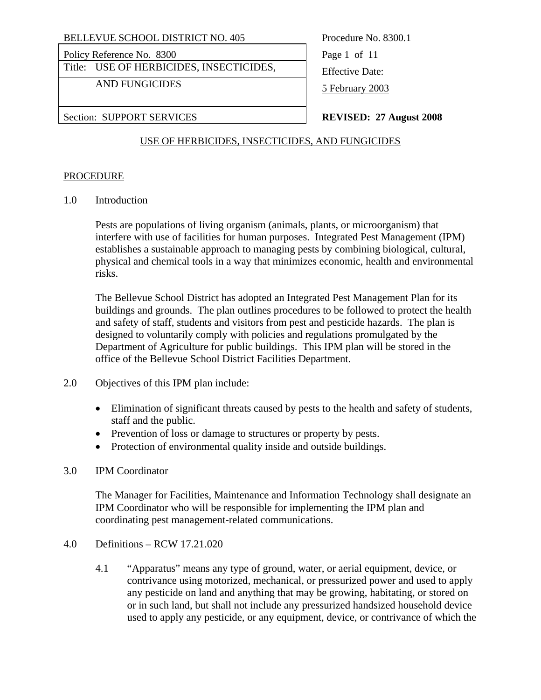Policy Reference No. 8300 Page 1 of 11

Title: USE OF HERBICIDES, INSECTICIDES, Figure 2.1 Leffective Date:

AND FUNGICIDES 5 February 2003

Section: SUPPORT SERVICES **REVISED: 27 August 2008** 

# USE OF HERBICIDES, INSECTICIDES, AND FUNGICIDES

### PROCEDURE

1.0 Introduction

Pests are populations of living organism (animals, plants, or microorganism) that interfere with use of facilities for human purposes. Integrated Pest Management (IPM) establishes a sustainable approach to managing pests by combining biological, cultural, physical and chemical tools in a way that minimizes economic, health and environmental risks.

The Bellevue School District has adopted an Integrated Pest Management Plan for its buildings and grounds. The plan outlines procedures to be followed to protect the health and safety of staff, students and visitors from pest and pesticide hazards. The plan is designed to voluntarily comply with policies and regulations promulgated by the Department of Agriculture for public buildings. This IPM plan will be stored in the office of the Bellevue School District Facilities Department.

- 2.0 Objectives of this IPM plan include:
	- Elimination of significant threats caused by pests to the health and safety of students, staff and the public.
	- Prevention of loss or damage to structures or property by pests.
	- Protection of environmental quality inside and outside buildings.

### 3.0 IPM Coordinator

The Manager for Facilities, Maintenance and Information Technology shall designate an IPM Coordinator who will be responsible for implementing the IPM plan and coordinating pest management-related communications.

- 4.0 Definitions RCW 17.21.020
	- 4.1 "Apparatus" means any type of ground, water, or aerial equipment, device, or contrivance using motorized, mechanical, or pressurized power and used to apply any pesticide on land and anything that may be growing, habitating, or stored on or in such land, but shall not include any pressurized handsized household device used to apply any pesticide, or any equipment, device, or contrivance of which the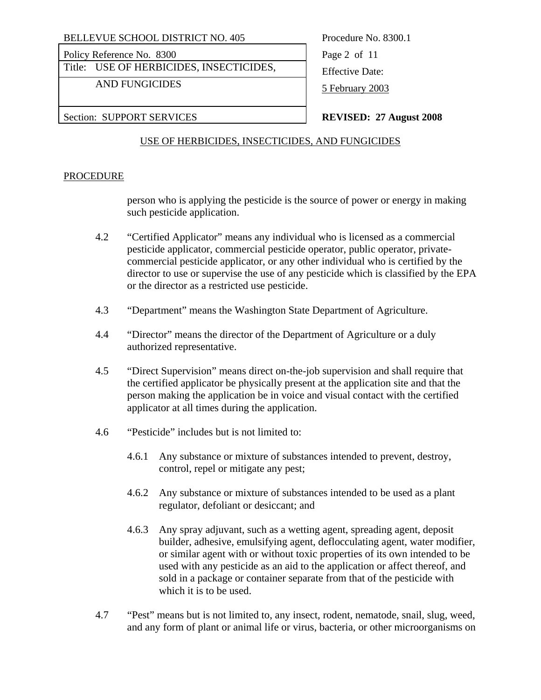Policy Reference No. 8300 Page 2 of 11

Title: USE OF HERBICIDES, INSECTICIDES, Figure 2.1 Leffective Date:

AND FUNGICIDES 5 February 2003

Section: SUPPORT SERVICES **REVISED: 27 August 2008** 

### USE OF HERBICIDES, INSECTICIDES, AND FUNGICIDES

### PROCEDURE

person who is applying the pesticide is the source of power or energy in making such pesticide application.

- 4.2 "Certified Applicator" means any individual who is licensed as a commercial pesticide applicator, commercial pesticide operator, public operator, privatecommercial pesticide applicator, or any other individual who is certified by the director to use or supervise the use of any pesticide which is classified by the EPA or the director as a restricted use pesticide.
- 4.3 "Department" means the Washington State Department of Agriculture.
- 4.4 "Director" means the director of the Department of Agriculture or a duly authorized representative.
- 4.5 "Direct Supervision" means direct on-the-job supervision and shall require that the certified applicator be physically present at the application site and that the person making the application be in voice and visual contact with the certified applicator at all times during the application.
- 4.6 "Pesticide" includes but is not limited to:
	- 4.6.1 Any substance or mixture of substances intended to prevent, destroy, control, repel or mitigate any pest;
	- 4.6.2 Any substance or mixture of substances intended to be used as a plant regulator, defoliant or desiccant; and
	- 4.6.3 Any spray adjuvant, such as a wetting agent, spreading agent, deposit builder, adhesive, emulsifying agent, deflocculating agent, water modifier, or similar agent with or without toxic properties of its own intended to be used with any pesticide as an aid to the application or affect thereof, and sold in a package or container separate from that of the pesticide with which it is to be used.
- 4.7 "Pest" means but is not limited to, any insect, rodent, nematode, snail, slug, weed, and any form of plant or animal life or virus, bacteria, or other microorganisms on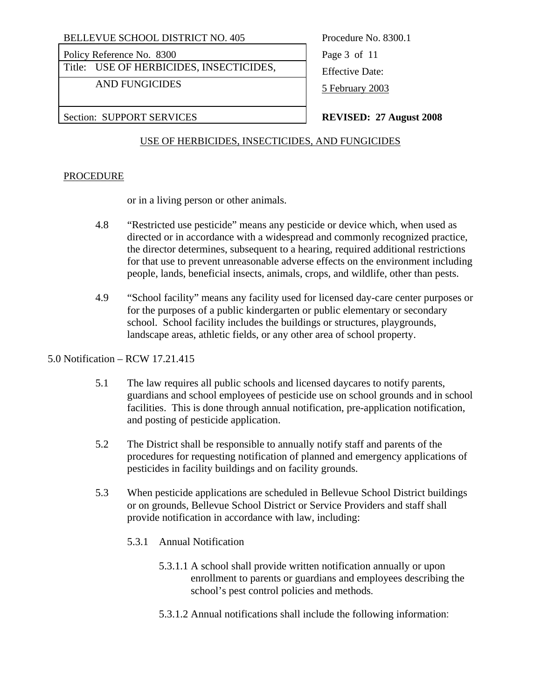Policy Reference No. 8300 Page 3 of 11

Title: USE OF HERBICIDES, INSECTICIDES, Figure 2.1 Leffective Date:

AND FUNGICIDES 5 February 2003

Section: SUPPORT SERVICES **REVISED: 27 August 2008** 

# USE OF HERBICIDES, INSECTICIDES, AND FUNGICIDES

### PROCEDURE

or in a living person or other animals.

- 4.8 "Restricted use pesticide" means any pesticide or device which, when used as directed or in accordance with a widespread and commonly recognized practice, the director determines, subsequent to a hearing, required additional restrictions for that use to prevent unreasonable adverse effects on the environment including people, lands, beneficial insects, animals, crops, and wildlife, other than pests.
- 4.9 "School facility" means any facility used for licensed day-care center purposes or for the purposes of a public kindergarten or public elementary or secondary school. School facility includes the buildings or structures, playgrounds, landscape areas, athletic fields, or any other area of school property.

### 5.0 Notification – RCW 17.21.415

- 5.1 The law requires all public schools and licensed daycares to notify parents, guardians and school employees of pesticide use on school grounds and in school facilities. This is done through annual notification, pre-application notification, and posting of pesticide application.
- 5.2 The District shall be responsible to annually notify staff and parents of the procedures for requesting notification of planned and emergency applications of pesticides in facility buildings and on facility grounds.
- 5.3 When pesticide applications are scheduled in Bellevue School District buildings or on grounds, Bellevue School District or Service Providers and staff shall provide notification in accordance with law, including:
	- 5.3.1 Annual Notification
		- 5.3.1.1 A school shall provide written notification annually or upon enrollment to parents or guardians and employees describing the school's pest control policies and methods.
		- 5.3.1.2 Annual notifications shall include the following information: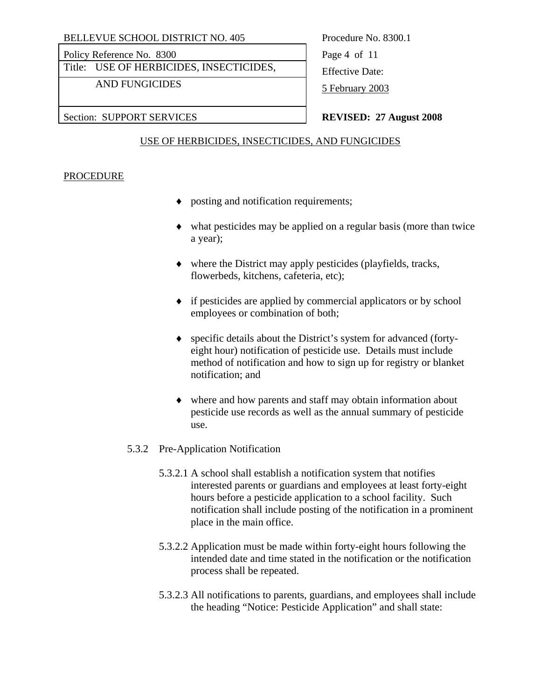Policy Reference No. 8300 Page 4 of 11

Title: USE OF HERBICIDES, INSECTICIDES, Effective Date:

AND FUNGICIDES 5 February 2003

Section: SUPPORT SERVICES **REVISED: 27 August 2008** 

### USE OF HERBICIDES, INSECTICIDES, AND FUNGICIDES

### PROCEDURE

- ♦ posting and notification requirements;
- ♦ what pesticides may be applied on a regular basis (more than twice a year);
- ♦ where the District may apply pesticides (playfields, tracks, flowerbeds, kitchens, cafeteria, etc);
- ♦ if pesticides are applied by commercial applicators or by school employees or combination of both;
- ♦ specific details about the District's system for advanced (fortyeight hour) notification of pesticide use. Details must include method of notification and how to sign up for registry or blanket notification; and
- ♦ where and how parents and staff may obtain information about pesticide use records as well as the annual summary of pesticide use.
- 5.3.2 Pre-Application Notification
	- 5.3.2.1 A school shall establish a notification system that notifies interested parents or guardians and employees at least forty-eight hours before a pesticide application to a school facility. Such notification shall include posting of the notification in a prominent place in the main office.
	- 5.3.2.2 Application must be made within forty-eight hours following the intended date and time stated in the notification or the notification process shall be repeated.
	- 5.3.2.3 All notifications to parents, guardians, and employees shall include the heading "Notice: Pesticide Application" and shall state: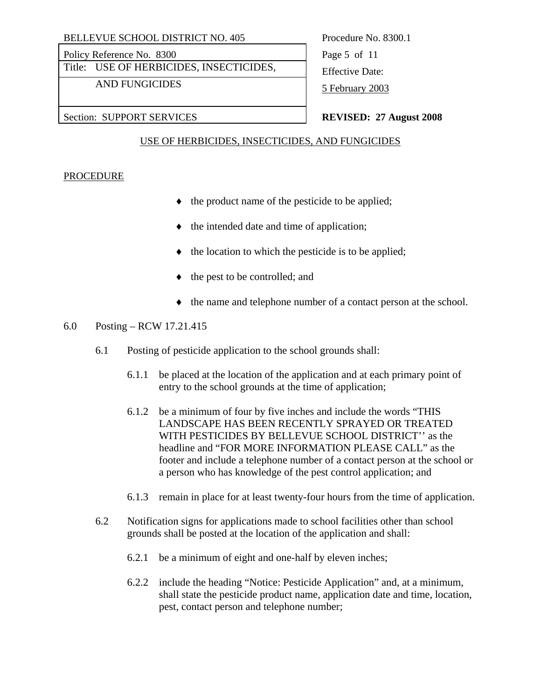Policy Reference No. 8300 Page 5 of 11

Title: USE OF HERBICIDES, INSECTICIDES, Figure 2.1 Leffective Date:

AND FUNGICIDES 5 February 2003

Section: SUPPORT SERVICES **REVISED: 27 August 2008** 

# USE OF HERBICIDES, INSECTICIDES, AND FUNGICIDES

### PROCEDURE

- ♦ the product name of the pesticide to be applied;
- ♦ the intended date and time of application;
- the location to which the pesticide is to be applied;
- the pest to be controlled; and
- ♦ the name and telephone number of a contact person at the school.

# 6.0 Posting – RCW 17.21.415

- 6.1 Posting of pesticide application to the school grounds shall:
	- 6.1.1 be placed at the location of the application and at each primary point of entry to the school grounds at the time of application;
	- 6.1.2 be a minimum of four by five inches and include the words "THIS LANDSCAPE HAS BEEN RECENTLY SPRAYED OR TREATED WITH PESTICIDES BY BELLEVUE SCHOOL DISTRICT'' as the headline and "FOR MORE INFORMATION PLEASE CALL" as the footer and include a telephone number of a contact person at the school or a person who has knowledge of the pest control application; and
	- 6.1.3 remain in place for at least twenty-four hours from the time of application.
- 6.2 Notification signs for applications made to school facilities other than school grounds shall be posted at the location of the application and shall:
	- 6.2.1 be a minimum of eight and one-half by eleven inches;
	- 6.2.2 include the heading "Notice: Pesticide Application" and, at a minimum, shall state the pesticide product name, application date and time, location, pest, contact person and telephone number;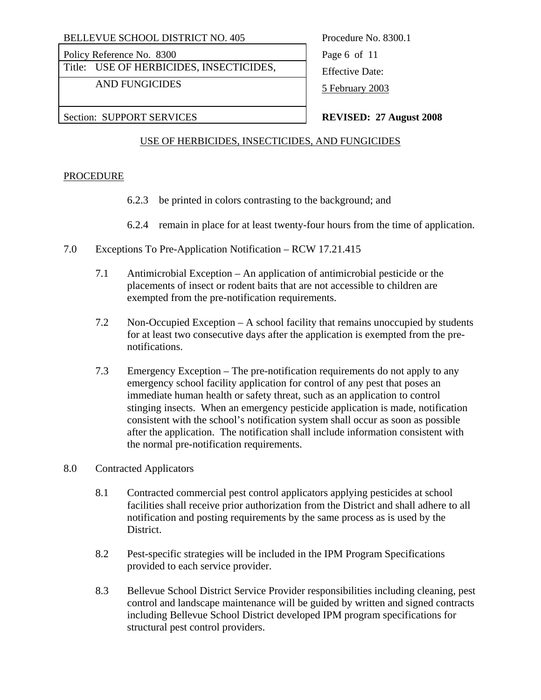Policy Reference No. 8300 Page 6 of 11

Title: USE OF HERBICIDES, INSECTICIDES, Figure 2.1 Leffective Date:

AND FUNGICIDES 5 February 2003

Section: SUPPORT SERVICES **REVISED: 27 August 2008** 

# USE OF HERBICIDES, INSECTICIDES, AND FUNGICIDES

### PROCEDURE

- 6.2.3 be printed in colors contrasting to the background; and
- 6.2.4 remain in place for at least twenty-four hours from the time of application.
- 7.0 Exceptions To Pre-Application Notification RCW 17.21.415
	- 7.1 Antimicrobial Exception An application of antimicrobial pesticide or the placements of insect or rodent baits that are not accessible to children are exempted from the pre-notification requirements.
	- 7.2 Non-Occupied Exception A school facility that remains unoccupied by students for at least two consecutive days after the application is exempted from the prenotifications.
	- 7.3 Emergency Exception The pre-notification requirements do not apply to any emergency school facility application for control of any pest that poses an immediate human health or safety threat, such as an application to control stinging insects. When an emergency pesticide application is made, notification consistent with the school's notification system shall occur as soon as possible after the application. The notification shall include information consistent with the normal pre-notification requirements.
- 8.0 Contracted Applicators
	- 8.1 Contracted commercial pest control applicators applying pesticides at school facilities shall receive prior authorization from the District and shall adhere to all notification and posting requirements by the same process as is used by the District.
	- 8.2 Pest-specific strategies will be included in the IPM Program Specifications provided to each service provider.
	- 8.3 Bellevue School District Service Provider responsibilities including cleaning, pest control and landscape maintenance will be guided by written and signed contracts including Bellevue School District developed IPM program specifications for structural pest control providers.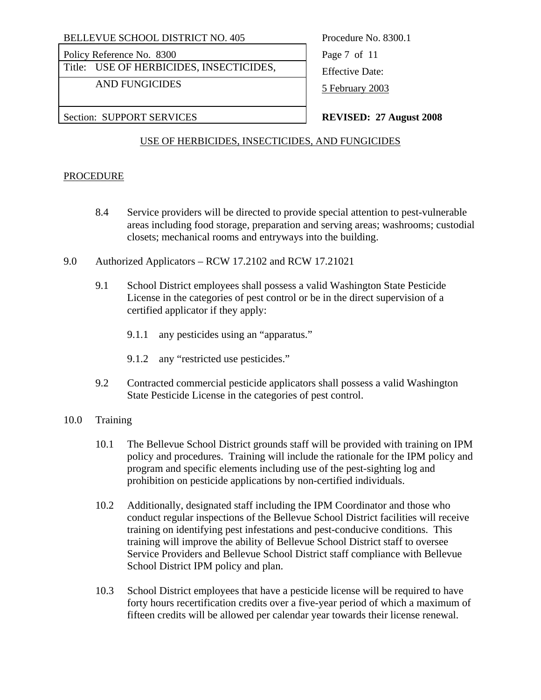Policy Reference No. 8300 Page 7 of 11

Title: USE OF HERBICIDES, INSECTICIDES, Figure 2.1 Leffective Date:

AND FUNGICIDES 5 February 2003

Section: SUPPORT SERVICES **REVISED: 27 August 2008** 

# USE OF HERBICIDES, INSECTICIDES, AND FUNGICIDES

### PROCEDURE

- 8.4 Service providers will be directed to provide special attention to pest-vulnerable areas including food storage, preparation and serving areas; washrooms; custodial closets; mechanical rooms and entryways into the building.
- 9.0 Authorized Applicators RCW 17.2102 and RCW 17.21021
	- 9.1 School District employees shall possess a valid Washington State Pesticide License in the categories of pest control or be in the direct supervision of a certified applicator if they apply:
		- 9.1.1 any pesticides using an "apparatus."
		- 9.1.2 any "restricted use pesticides."
	- 9.2 Contracted commercial pesticide applicators shall possess a valid Washington State Pesticide License in the categories of pest control.

### 10.0 Training

- 10.1 The Bellevue School District grounds staff will be provided with training on IPM policy and procedures. Training will include the rationale for the IPM policy and program and specific elements including use of the pest-sighting log and prohibition on pesticide applications by non-certified individuals.
- 10.2 Additionally, designated staff including the IPM Coordinator and those who conduct regular inspections of the Bellevue School District facilities will receive training on identifying pest infestations and pest-conducive conditions. This training will improve the ability of Bellevue School District staff to oversee Service Providers and Bellevue School District staff compliance with Bellevue School District IPM policy and plan.
- 10.3 School District employees that have a pesticide license will be required to have forty hours recertification credits over a five-year period of which a maximum of fifteen credits will be allowed per calendar year towards their license renewal.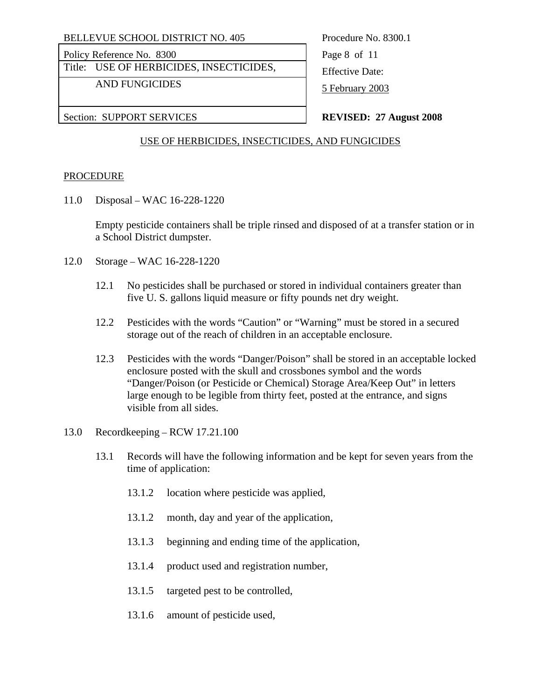Policy Reference No. 8300 Page 8 of 11

Title: USE OF HERBICIDES, INSECTICIDES, Figure 2.1 Leffective Date:

AND FUNGICIDES 5 February 2003

Section: SUPPORT SERVICES **REVISED: 27 August 2008** 

### USE OF HERBICIDES, INSECTICIDES, AND FUNGICIDES

### PROCEDURE

11.0 Disposal – WAC 16-228-1220

Empty pesticide containers shall be triple rinsed and disposed of at a transfer station or in a School District dumpster.

- 12.0 Storage WAC 16-228-1220
	- 12.1 No pesticides shall be purchased or stored in individual containers greater than five U. S. gallons liquid measure or fifty pounds net dry weight.
	- 12.2 Pesticides with the words "Caution" or "Warning" must be stored in a secured storage out of the reach of children in an acceptable enclosure.
	- 12.3 Pesticides with the words "Danger/Poison" shall be stored in an acceptable locked enclosure posted with the skull and crossbones symbol and the words "Danger/Poison (or Pesticide or Chemical) Storage Area/Keep Out" in letters large enough to be legible from thirty feet, posted at the entrance, and signs visible from all sides.
- 13.0 Recordkeeping RCW 17.21.100
	- 13.1 Records will have the following information and be kept for seven years from the time of application:
		- 13.1.2 location where pesticide was applied,
		- 13.1.2 month, day and year of the application,
		- 13.1.3 beginning and ending time of the application,
		- 13.1.4 product used and registration number,
		- 13.1.5 targeted pest to be controlled,
		- 13.1.6 amount of pesticide used,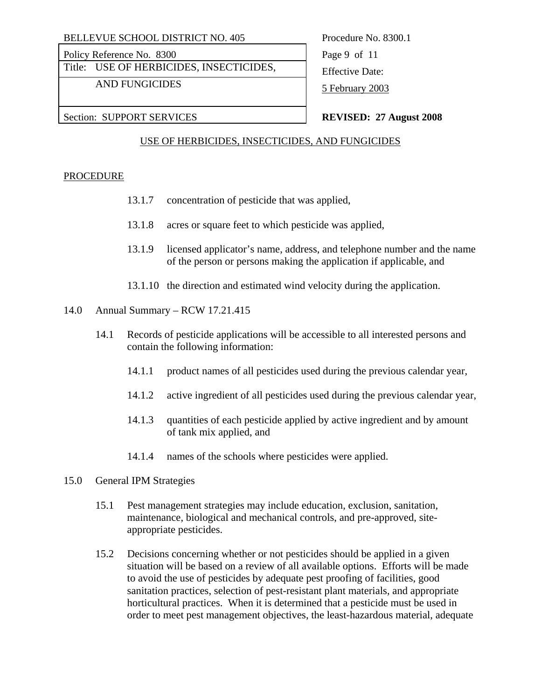Policy Reference No. 8300 Page 9 of 11

Title: USE OF HERBICIDES, INSECTICIDES, <br>Effective Date:

AND FUNGICIDES 5 February 2003

Section: SUPPORT SERVICES **REVISED: 27 August 2008** 

### USE OF HERBICIDES, INSECTICIDES, AND FUNGICIDES

### PROCEDURE

- 13.1.7 concentration of pesticide that was applied,
- 13.1.8 acres or square feet to which pesticide was applied,
- 13.1.9 licensed applicator's name, address, and telephone number and the name of the person or persons making the application if applicable, and
- 13.1.10 the direction and estimated wind velocity during the application.
- 14.0 Annual Summary RCW 17.21.415
	- 14.1 Records of pesticide applications will be accessible to all interested persons and contain the following information:
		- 14.1.1 product names of all pesticides used during the previous calendar year,
		- 14.1.2 active ingredient of all pesticides used during the previous calendar year,
		- 14.1.3 quantities of each pesticide applied by active ingredient and by amount of tank mix applied, and
		- 14.1.4 names of the schools where pesticides were applied.
- 15.0 General IPM Strategies
	- 15.1 Pest management strategies may include education, exclusion, sanitation, maintenance, biological and mechanical controls, and pre-approved, siteappropriate pesticides.
	- 15.2 Decisions concerning whether or not pesticides should be applied in a given situation will be based on a review of all available options. Efforts will be made to avoid the use of pesticides by adequate pest proofing of facilities, good sanitation practices, selection of pest-resistant plant materials, and appropriate horticultural practices. When it is determined that a pesticide must be used in order to meet pest management objectives, the least-hazardous material, adequate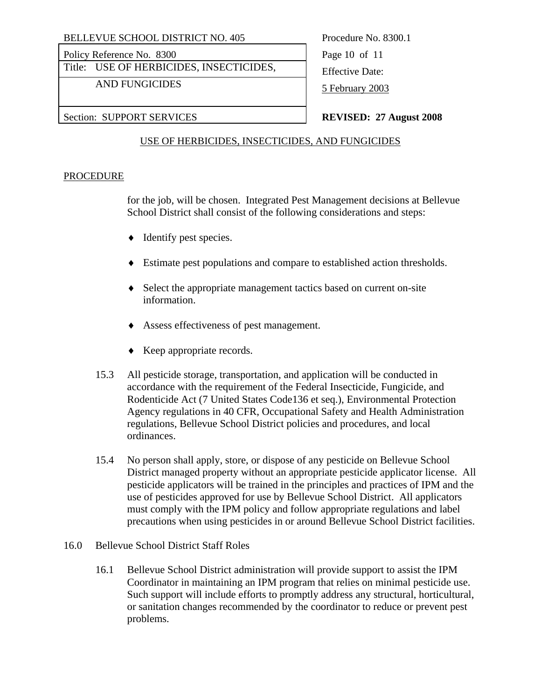Policy Reference No. 8300 Page 10 of 11

Title: USE OF HERBICIDES, INSECTICIDES, Figure 2.1 Leffective Date:

AND FUNGICIDES 5 February 2003

Section: SUPPORT SERVICES **REVISED: 27 August 2008** 

### USE OF HERBICIDES, INSECTICIDES, AND FUNGICIDES

### PROCEDURE

for the job, will be chosen. Integrated Pest Management decisions at Bellevue School District shall consist of the following considerations and steps:

- ♦ Identify pest species.
- ♦ Estimate pest populations and compare to established action thresholds.
- ♦ Select the appropriate management tactics based on current on-site information.
- ♦ Assess effectiveness of pest management.
- ♦ Keep appropriate records.
- 15.3 All pesticide storage, transportation, and application will be conducted in accordance with the requirement of the Federal Insecticide, Fungicide, and Rodenticide Act (7 United States Code136 et seq.), Environmental Protection Agency regulations in 40 CFR, Occupational Safety and Health Administration regulations, Bellevue School District policies and procedures, and local ordinances.
- 15.4 No person shall apply, store, or dispose of any pesticide on Bellevue School District managed property without an appropriate pesticide applicator license. All pesticide applicators will be trained in the principles and practices of IPM and the use of pesticides approved for use by Bellevue School District. All applicators must comply with the IPM policy and follow appropriate regulations and label precautions when using pesticides in or around Bellevue School District facilities.
- 16.0 Bellevue School District Staff Roles
	- 16.1 Bellevue School District administration will provide support to assist the IPM Coordinator in maintaining an IPM program that relies on minimal pesticide use. Such support will include efforts to promptly address any structural, horticultural, or sanitation changes recommended by the coordinator to reduce or prevent pest problems.